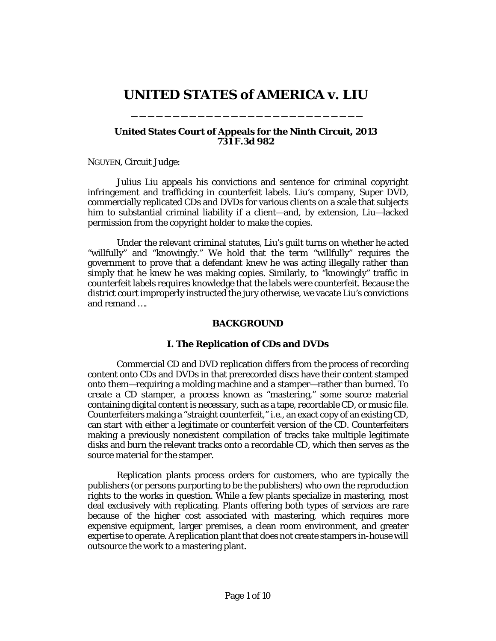# **UNITED STATES of AMERICA v. LIU**

\_\_\_\_\_\_\_\_\_\_\_\_\_\_\_\_\_\_\_\_\_\_\_\_\_\_\_\_

# **United States Court of Appeals for the Ninth Circuit, 2013 731 F.3d 982**

[NGUYEN,](http://www.westlaw.com/Link/Document/FullText?findType=h&pubNum=176284&cite=0427663801&originatingDoc=Iff1d9ce12a8311e3b48bea39e86d4142&refType=RQ&originationContext=document&vr=3.0&rs=cblt1.0&transitionType=DocumentItem&contextData=(sc.DocLink)) Circuit Judge:

Julius Liu appeals his convictions and sentence for criminal copyright infringement and trafficking in counterfeit labels. Liu's company, Super DVD, commercially replicated CDs and DVDs for various clients on a scale that subjects him to substantial criminal liability if a client—and, by extension, Liu—lacked permission from the copyright holder to make the copies.

Under the relevant criminal statutes, Liu's guilt turns on whether he acted "willfully" and "knowingly." We hold that the term "willfully" requires the government to prove that a defendant knew he was acting illegally rather than simply that he knew he was making copies. Similarly, to "knowingly" traffic in counterfeit labels requires knowledge that the labels were counterfeit. Because the district court improperly instructed the jury otherwise, we vacate Liu's convictions and remand ….

# **BACKGROUND**

# **I. The Replication of CDs and DVDs**

Commercial CD and DVD replication differs from the process of recording content onto CDs and DVDs in that prerecorded discs have their content stamped onto them—requiring a molding machine and a stamper—rather than burned. To create a CD stamper, a process known as "mastering," some source material containing digital content is necessary, such as a tape, recordable CD, or music file. Counterfeiters making a "straight counterfeit," i.e., an exact copy of an existing CD, can start with either a legitimate or counterfeit version of the CD. Counterfeiters making a previously nonexistent compilation of tracks take multiple legitimate disks and burn the relevant tracks onto a recordable CD, which then serves as the source material for the stamper.

Replication plants process orders for customers, who are typically the publishers (or persons purporting to be the publishers) who own the reproduction rights to the works in question. While a few plants specialize in mastering, most deal exclusively with replicating. Plants offering both types of services are rare because of the higher cost associated with mastering, which requires more expensive equipment, larger premises, a clean room environment, and greater expertise to operate. A replication plant that does not create stampers in-house will outsource the work to a mastering plant.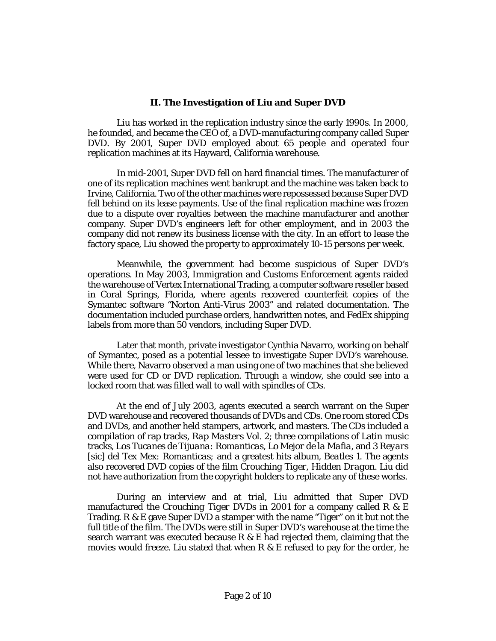# **II. The Investigation of Liu and Super DVD**

Liu has worked in the replication industry since the early 1990s. In 2000, he founded, and became the CEO of, a DVD-manufacturing company called Super DVD. By 2001, Super DVD employed about 65 people and operated four replication machines at its Hayward, California warehouse.

In mid-2001, Super DVD fell on hard financial times. The manufacturer of one of its replication machines went bankrupt and the machine was taken back to Irvine, California. Two of the other machines were repossessed because Super DVD fell behind on its lease payments. Use of the final replication machine was frozen due to a dispute over royalties between the machine manufacturer and another company. Super DVD's engineers left for other employment, and in 2003 the company did not renew its business license with the city. In an effort to lease the factory space, Liu showed the property to approximately 10-15 persons per week.

Meanwhile, the government had become suspicious of Super DVD's operations. In May 2003, Immigration and Customs Enforcement agents raided the warehouse of Vertex International Trading, a computer software reseller based in Coral Springs, Florida, where agents recovered counterfeit copies of the Symantec software "Norton Anti-Virus 2003" and related documentation. The documentation included purchase orders, handwritten notes, and FedEx shipping labels from more than 50 vendors, including Super DVD.

Later that month, private investigator Cynthia Navarro, working on behalf of Symantec, posed as a potential lessee to investigate Super DVD's warehouse. While there, Navarro observed a man using one of two machines that she believed were used for CD or DVD replication. Through a window, she could see into a locked room that was filled wall to wall with spindles of CDs.

At the end of July 2003, agents executed a search warrant on the Super DVD warehouse and recovered thousands of DVDs and CDs. One room stored CDs and DVDs, and another held stampers, artwork, and masters. The CDs included a compilation of rap tracks, *Rap Masters Vol. 2*; three compilations of Latin music tracks, *Los Tucanes de Tijuana: Romanticas, Lo Mejor de la Mafia,* and *3 Reyars* [sic] *del Tex Mex: Romanticas;* and a greatest hits album, *Beatles 1.* The agents also recovered DVD copies of the film *Crouching Tiger, Hidden Dragon.* Liu did not have authorization from the copyright holders to replicate any of these works.

During an interview and at trial, Liu admitted that Super DVD manufactured the *Crouching Tiger* DVDs in 2001 for a company called R & E Trading. R & E gave Super DVD a stamper with the name "Tiger" on it but not the full title of the film. The DVDs were still in Super DVD's warehouse at the time the search warrant was executed because R  $\&$  E had rejected them, claiming that the movies would freeze. Liu stated that when R & E refused to pay for the order, he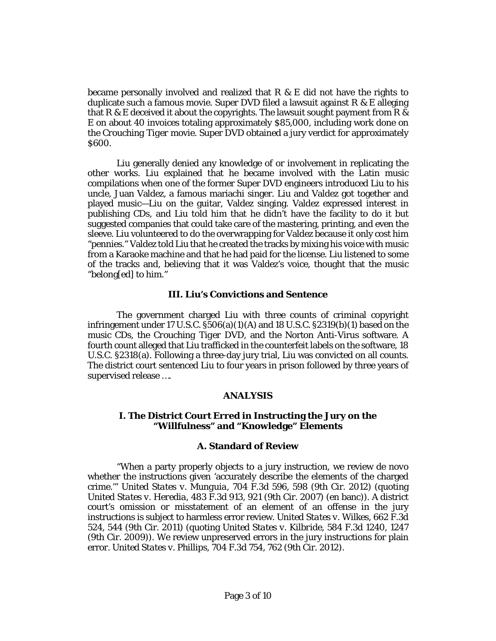became personally involved and realized that  $R \& E$  did not have the rights to duplicate such a famous movie. Super DVD filed a lawsuit against R & E alleging that R & E deceived it about the copyrights. The lawsuit sought payment from R & E on about 40 invoices totaling approximately \$85,000, including work done on the *Crouching Tiger* movie. Super DVD obtained a jury verdict for approximately \$600.

Liu generally denied any knowledge of or involvement in replicating the other works. Liu explained that he became involved with the Latin music compilations when one of the former Super DVD engineers introduced Liu to his uncle, Juan Valdez, a famous mariachi singer. Liu and Valdez got together and played music—Liu on the guitar, Valdez singing. Valdez expressed interest in publishing CDs, and Liu told him that he didn't have the facility to do it but suggested companies that could take care of the mastering, printing, and even the sleeve. Liu volunteered to do the overwrapping for Valdez because it only cost him "pennies." Valdez told Liu that he created the tracks by mixing his voice with music from a Karaoke machine and that he had paid for the license. Liu listened to some of the tracks and, believing that it was Valdez's voice, thought that the music "belong[ed] to him."

#### **III. Liu's Convictions and Sentence**

The government charged Liu with three counts of criminal copyright infringement under 17 U.S.C.  $$506(a)(1)(A)$  and 18 U.S.C.  $$2319(b)(1)$  based on the music CDs, the *Crouching Tiger* DVD, and the Norton Anti-Virus software. A fourth count alleged that Liu trafficked in the counterfeit labels on the software[, 18](http://www.westlaw.com/Link/Document/FullText?findType=L&pubNum=1000546&cite=18USCAS2318&originatingDoc=Iff1d9ce12a8311e3b48bea39e86d4142&refType=RB&originationContext=document&vr=3.0&rs=cblt1.0&transitionType=DocumentItem&contextData=(sc.DocLink)#co_pp_8b3b0000958a4)  [U.S.C. §2318\(a\).](http://www.westlaw.com/Link/Document/FullText?findType=L&pubNum=1000546&cite=18USCAS2318&originatingDoc=Iff1d9ce12a8311e3b48bea39e86d4142&refType=RB&originationContext=document&vr=3.0&rs=cblt1.0&transitionType=DocumentItem&contextData=(sc.DocLink)#co_pp_8b3b0000958a4) Following a three-day jury trial, Liu was convicted on all counts. The district court sentenced Liu to four years in prison followed by three years of supervised release ….

#### **ANALYSIS**

#### **I. The District Court Erred in Instructing the Jury on the "Willfulness" and "Knowledge" Elements**

#### **A. Standard of Review**

"When a party properly objects to a jury instruction, we review *de novo* whether the instructions given 'accurately describe the elements of the charged crime.'" *United States v. Munguia,* [704 F.3d 596, 598 \(9th Cir.](http://www.westlaw.com/Link/Document/FullText?findType=Y&serNum=2029291824&pubNum=506&originatingDoc=Iff1d9ce12a8311e3b48bea39e86d4142&refType=RP&fi=co_pp_sp_506_598&originationContext=document&vr=3.0&rs=cblt1.0&transitionType=DocumentItem&contextData=(sc.DocLink)#co_pp_sp_506_598) 2012) (quoting *United States v. Heredia,* [483 F.3d 913, 921 \(9th Cir.](http://www.westlaw.com/Link/Document/FullText?findType=Y&serNum=2012129853&pubNum=506&originatingDoc=Iff1d9ce12a8311e3b48bea39e86d4142&refType=RP&fi=co_pp_sp_506_921&originationContext=document&vr=3.0&rs=cblt1.0&transitionType=DocumentItem&contextData=(sc.DocLink)#co_pp_sp_506_921) 2007) (en banc)). A district court's omission or misstatement of an element of an offense in the jury instructions is subject to harmless error review. *[United States v. Wilkes,](http://www.westlaw.com/Link/Document/FullText?findType=Y&serNum=2026361679&pubNum=506&originatingDoc=Iff1d9ce12a8311e3b48bea39e86d4142&refType=RP&fi=co_pp_sp_506_544&originationContext=document&vr=3.0&rs=cblt1.0&transitionType=DocumentItem&contextData=(sc.DocLink)#co_pp_sp_506_544)* 662 F.3d [524, 544 \(9th Cir.](http://www.westlaw.com/Link/Document/FullText?findType=Y&serNum=2026361679&pubNum=506&originatingDoc=Iff1d9ce12a8311e3b48bea39e86d4142&refType=RP&fi=co_pp_sp_506_544&originationContext=document&vr=3.0&rs=cblt1.0&transitionType=DocumentItem&contextData=(sc.DocLink)#co_pp_sp_506_544) 2011) (quoting *[United States v. Kilbride,](http://www.westlaw.com/Link/Document/FullText?findType=Y&serNum=2020228370&pubNum=506&originatingDoc=Iff1d9ce12a8311e3b48bea39e86d4142&refType=RP&fi=co_pp_sp_506_1247&originationContext=document&vr=3.0&rs=cblt1.0&transitionType=DocumentItem&contextData=(sc.DocLink)#co_pp_sp_506_1247)* 584 F.3d 1240, 1247 [\(9th Cir.](http://www.westlaw.com/Link/Document/FullText?findType=Y&serNum=2020228370&pubNum=506&originatingDoc=Iff1d9ce12a8311e3b48bea39e86d4142&refType=RP&fi=co_pp_sp_506_1247&originationContext=document&vr=3.0&rs=cblt1.0&transitionType=DocumentItem&contextData=(sc.DocLink)#co_pp_sp_506_1247) 2009)). We review unpreserved errors in the jury instructions for plain error. *United States v. Phillips,* [704 F.3d 754, 762 \(9th Cir.](http://www.westlaw.com/Link/Document/FullText?findType=Y&serNum=2029526183&pubNum=506&originatingDoc=Iff1d9ce12a8311e3b48bea39e86d4142&refType=RP&fi=co_pp_sp_506_762&originationContext=document&vr=3.0&rs=cblt1.0&transitionType=DocumentItem&contextData=(sc.DocLink)#co_pp_sp_506_762) 2012).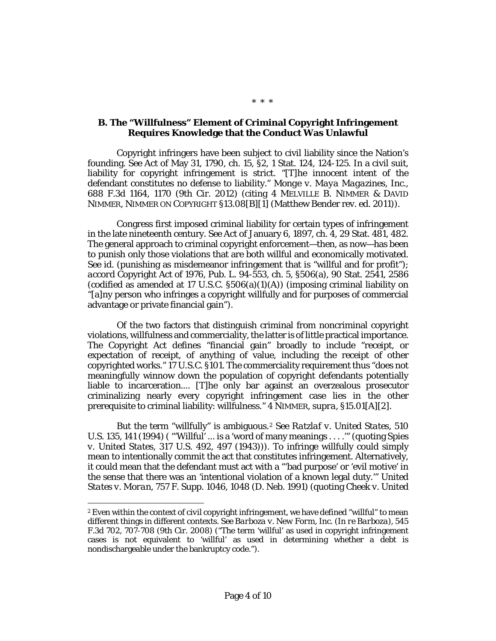# **B. The "Willfulness" Element of Criminal Copyright Infringement Requires Knowledge that the Conduct Was Unlawful**

Copyright infringers have been subject to civil liability since the Nation's founding. *See* Act of May 31, 1790, ch. 15, §2, 1 Stat. 124, 124-125. In a civil suit, liability for copyright infringement is strict. "[T]he innocent intent of the defendant constitutes no defense to liability." *[Monge v. Maya Magazines, Inc.,](http://www.westlaw.com/Link/Document/FullText?findType=Y&serNum=2028399349&pubNum=506&originatingDoc=Iff1d9ce12a8311e3b48bea39e86d4142&refType=RP&fi=co_pp_sp_506_1170&originationContext=document&vr=3.0&rs=cblt1.0&transitionType=DocumentItem&contextData=(sc.DocLink)#co_pp_sp_506_1170)* [688 F.3d 1164, 1170 \(9th Cir.](http://www.westlaw.com/Link/Document/FullText?findType=Y&serNum=2028399349&pubNum=506&originatingDoc=Iff1d9ce12a8311e3b48bea39e86d4142&refType=RP&fi=co_pp_sp_506_1170&originationContext=document&vr=3.0&rs=cblt1.0&transitionType=DocumentItem&contextData=(sc.DocLink)#co_pp_sp_506_1170) 2012) (citing 4 MELVILLE B. NIMMER & DAVID NIMMER, NIMMER ON COPYRIGHT §13.08[B][1] (Matthew Bender rev. ed. 2011)).

Congress first imposed criminal liability for certain types of infringement in the late nineteenth century. *See* Act of January 6, 1897, ch. 4, 29 Stat. 481, 482. The general approach to criminal copyright enforcement—then, as now—has been to punish only those violations that are both willful and economically motivated. *See id.* (punishing as misdemeanor infringement that is "willful and for profit"); *accord* Copyright Act of 1976, Pub. [L. 94-553,](http://www.westlaw.com/Link/Document/FullText?findType=l&pubNum=1077005&cite=UUID(I3EBA84836D-094354B800E-F480BFDD0A2)&originatingDoc=Iff1d9ce12a8311e3b48bea39e86d4142&refType=SL&originationContext=document&vr=3.0&rs=cblt1.0&transitionType=DocumentItem&contextData=(sc.DocLink)) [ch. 5, §506\(a\),](http://www.westlaw.com/Link/Document/FullText?findType=L&pubNum=1000546&cite=17USCAS506&originatingDoc=Iff1d9ce12a8311e3b48bea39e86d4142&refType=RB&originationContext=document&vr=3.0&rs=cblt1.0&transitionType=DocumentItem&contextData=(sc.DocLink)#co_pp_8b3b0000958a4) 90 Stat. 2541, 2586 (codified as amended at 17 U.S.C.  $$506(a)(1)(A)$ ) (imposing criminal liability on "[a]ny person who infringes a copyright willfully and for purposes of commercial advantage or private financial gain").

Of the two factors that distinguish criminal from noncriminal copyright violations, willfulness and commerciality, the latter is of little practical importance. The Copyright Act defines "financial gain" broadly to include "receipt, or expectation of receipt, of anything of value, including the receipt of other copyrighted works." [17 U.S.C. §101.](http://www.westlaw.com/Link/Document/FullText?findType=L&pubNum=1000546&cite=17USCAS101&originatingDoc=Iff1d9ce12a8311e3b48bea39e86d4142&refType=LQ&originationContext=document&vr=3.0&rs=cblt1.0&transitionType=DocumentItem&contextData=(sc.DocLink)) The commerciality requirement thus "does not meaningfully winnow down the population of copyright defendants potentially liable to incarceration.... [T]he only bar against an overzealous prosecutor criminalizing nearly every copyright infringement case lies in the other prerequisite to criminal liability: willfulness." 4 NIMMER, *supra,* §15.01[A][2].

But the term "willfully" is ambiguous[.2](#page-3-0) *See [Ratzlaf v. United States,](http://www.westlaw.com/Link/Document/FullText?findType=Y&serNum=1994024039&pubNum=708&originatingDoc=Iff1d9ce12a8311e3b48bea39e86d4142&refType=RP&originationContext=document&vr=3.0&rs=cblt1.0&transitionType=DocumentItem&contextData=(sc.DocLink))* 510 [U.S. 135, 141 \(1994\)](http://www.westlaw.com/Link/Document/FullText?findType=Y&serNum=1994024039&pubNum=708&originatingDoc=Iff1d9ce12a8311e3b48bea39e86d4142&refType=RP&originationContext=document&vr=3.0&rs=cblt1.0&transitionType=DocumentItem&contextData=(sc.DocLink)) ( "'Willful' ... is a 'word of many meanings . . . .'" (quoting *[Spies](http://www.westlaw.com/Link/Document/FullText?findType=Y&serNum=1943119231&pubNum=708&originatingDoc=Iff1d9ce12a8311e3b48bea39e86d4142&refType=RP&originationContext=document&vr=3.0&rs=cblt1.0&transitionType=DocumentItem&contextData=(sc.DocLink))  v. United States,* [317 U.S. 492, 497 \(1943\)\)](http://www.westlaw.com/Link/Document/FullText?findType=Y&serNum=1943119231&pubNum=708&originatingDoc=Iff1d9ce12a8311e3b48bea39e86d4142&refType=RP&originationContext=document&vr=3.0&rs=cblt1.0&transitionType=DocumentItem&contextData=(sc.DocLink))). To infringe willfully could simply mean to intentionally commit the act that constitutes infringement. Alternatively, it could mean that the defendant must act with a "'bad purpose' or 'evil motive' in the sense that there was an 'intentional violation of a known legal duty.'" *[United](http://www.westlaw.com/Link/Document/FullText?findType=Y&serNum=1991044198&pubNum=345&originatingDoc=Iff1d9ce12a8311e3b48bea39e86d4142&refType=RP&fi=co_pp_sp_345_1048&originationContext=document&vr=3.0&rs=cblt1.0&transitionType=DocumentItem&contextData=(sc.DocLink)#co_pp_sp_345_1048)  States v. Moran,* 757 F. [Supp. 1046, 1048 \(D.](http://www.westlaw.com/Link/Document/FullText?findType=Y&serNum=1991044198&pubNum=345&originatingDoc=Iff1d9ce12a8311e3b48bea39e86d4142&refType=RP&fi=co_pp_sp_345_1048&originationContext=document&vr=3.0&rs=cblt1.0&transitionType=DocumentItem&contextData=(sc.DocLink)#co_pp_sp_345_1048) Neb. 1991) (quoting *[Cheek v. United](http://www.westlaw.com/Link/Document/FullText?findType=Y&serNum=1991017903&pubNum=708&originatingDoc=Iff1d9ce12a8311e3b48bea39e86d4142&refType=RP&originationContext=document&vr=3.0&rs=cblt1.0&transitionType=DocumentItem&contextData=(sc.DocLink))* 

 $\overline{a}$ 

\* \* \*

<span id="page-3-0"></span><sup>2</sup> Even within the context of *civil* copyright infringement, we have defined "willful" to mean different things in different contexts. *See [Barboza v. New Form, Inc. \(In re Barboza\),](http://www.westlaw.com/Link/Document/FullText?findType=Y&serNum=2017119666&pubNum=506&originatingDoc=Iff1d9ce12a8311e3b48bea39e86d4142&refType=RP&fi=co_pp_sp_506_707&originationContext=document&vr=3.0&rs=cblt1.0&transitionType=DocumentItem&contextData=(sc.DocLink)#co_pp_sp_506_707)* 545 [F.3d 702, 707-708 \(9th Cir.](http://www.westlaw.com/Link/Document/FullText?findType=Y&serNum=2017119666&pubNum=506&originatingDoc=Iff1d9ce12a8311e3b48bea39e86d4142&refType=RP&fi=co_pp_sp_506_707&originationContext=document&vr=3.0&rs=cblt1.0&transitionType=DocumentItem&contextData=(sc.DocLink)#co_pp_sp_506_707) 2008) ("The term 'willful' as used in copyright infringement cases is not equivalent to 'willful' as used in determining whether a debt is nondischargeable under the bankruptcy code.").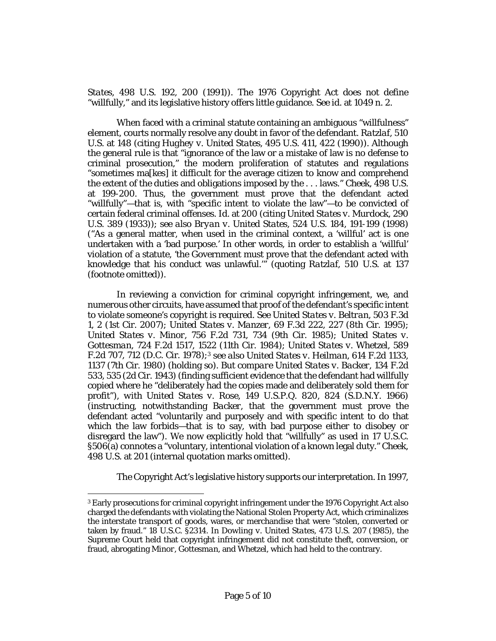*States,* [498 U.S. 192, 200 \(1991\)\)](http://www.westlaw.com/Link/Document/FullText?findType=Y&serNum=1991017903&pubNum=708&originatingDoc=Iff1d9ce12a8311e3b48bea39e86d4142&refType=RP&originationContext=document&vr=3.0&rs=cblt1.0&transitionType=DocumentItem&contextData=(sc.DocLink)). The 1976 Copyright Act does not define "willfully," and its legislative history offers little guidance. *See id.* [at 1049 n. 2.](http://www.westlaw.com/Link/Document/FullText?findType=Y&serNum=1991044198&originatingDoc=Iff1d9ce12a8311e3b48bea39e86d4142&refType=RP&originationContext=document&vr=3.0&rs=cblt1.0&transitionType=DocumentItem&contextData=(sc.DocLink))

When faced with a criminal statute containing an ambiguous "willfulness" element, courts normally resolve any doubt in favor of the defendant. *[Ratzlaf,](http://www.westlaw.com/Link/Document/FullText?findType=Y&serNum=1994024039&pubNum=708&originatingDoc=Iff1d9ce12a8311e3b48bea39e86d4142&refType=RP&originationContext=document&vr=3.0&rs=cblt1.0&transitionType=DocumentItem&contextData=(sc.DocLink))* 510 [U.S. at 148 \(](http://www.westlaw.com/Link/Document/FullText?findType=Y&serNum=1994024039&pubNum=708&originatingDoc=Iff1d9ce12a8311e3b48bea39e86d4142&refType=RP&originationContext=document&vr=3.0&rs=cblt1.0&transitionType=DocumentItem&contextData=(sc.DocLink))citing *[Hughey v. United States,](http://www.westlaw.com/Link/Document/FullText?findType=Y&serNum=1990081025&pubNum=708&originatingDoc=Iff1d9ce12a8311e3b48bea39e86d4142&refType=RP&originationContext=document&vr=3.0&rs=cblt1.0&transitionType=DocumentItem&contextData=(sc.DocLink))* 495 U.S. 411, 422 (1990)). Although the general rule is that "ignorance of the law or a mistake of law is no defense to criminal prosecution," the modern proliferation of statutes and regulations "sometimes ma[kes] it difficult for the average citizen to know and comprehend the extent of the duties and obligations imposed by the . . . laws." *Cheek,* [498 U.S.](http://www.westlaw.com/Link/Document/FullText?findType=Y&serNum=1991017903&pubNum=708&originatingDoc=Iff1d9ce12a8311e3b48bea39e86d4142&refType=RP&originationContext=document&vr=3.0&rs=cblt1.0&transitionType=DocumentItem&contextData=(sc.DocLink))  [at 199-200.](http://www.westlaw.com/Link/Document/FullText?findType=Y&serNum=1991017903&pubNum=708&originatingDoc=Iff1d9ce12a8311e3b48bea39e86d4142&refType=RP&originationContext=document&vr=3.0&rs=cblt1.0&transitionType=DocumentItem&contextData=(sc.DocLink)) Thus, the government must prove that the defendant acted "willfully"—that is, with "specific intent to violate the law"—to be convicted of certain federal criminal offenses. *Id.* [at 200](http://www.westlaw.com/Link/Document/FullText?findType=Y&serNum=1991017903&pubNum=708&originatingDoc=Iff1d9ce12a8311e3b48bea39e86d4142&refType=RP&originationContext=document&vr=3.0&rs=cblt1.0&transitionType=DocumentItem&contextData=(sc.DocLink)) (citing *[United States v. Murdock,](http://www.westlaw.com/Link/Document/FullText?findType=Y&serNum=1933123532&pubNum=708&originatingDoc=Iff1d9ce12a8311e3b48bea39e86d4142&refType=RP&originationContext=document&vr=3.0&rs=cblt1.0&transitionType=DocumentItem&contextData=(sc.DocLink))* 290 [U.S. 389](http://www.westlaw.com/Link/Document/FullText?findType=Y&serNum=1933123532&pubNum=708&originatingDoc=Iff1d9ce12a8311e3b48bea39e86d4142&refType=RP&originationContext=document&vr=3.0&rs=cblt1.0&transitionType=DocumentItem&contextData=(sc.DocLink)) (1933)); *see also [Bryan v. United States,](http://www.westlaw.com/Link/Document/FullText?findType=Y&serNum=1998125693&pubNum=708&originatingDoc=Iff1d9ce12a8311e3b48bea39e86d4142&refType=RP&originationContext=document&vr=3.0&rs=cblt1.0&transitionType=DocumentItem&contextData=(sc.DocLink))* 524 U.S. 184, 191-199 (1998) ("As a general matter, when used in the criminal context, a 'willful' act is one undertaken with a 'bad purpose.' In other words, in order to establish a 'willful' violation of a statute, 'the Government must prove that the defendant acted with knowledge that his conduct was unlawful.'" (quoting *Ratzlaf,* [510 U.S. at 137](http://www.westlaw.com/Link/Document/FullText?findType=Y&serNum=1994024039&pubNum=708&originatingDoc=Iff1d9ce12a8311e3b48bea39e86d4142&refType=RP&originationContext=document&vr=3.0&rs=cblt1.0&transitionType=DocumentItem&contextData=(sc.DocLink))  (footnote omitted)).

In reviewing a conviction for criminal copyright infringement, we, and numerous other circuits, have assumed that proof of the defendant's specific intent to violate someone's copyright is required. *See [United States v. Beltran,](http://www.westlaw.com/Link/Document/FullText?findType=Y&serNum=2013181276&pubNum=506&originatingDoc=Iff1d9ce12a8311e3b48bea39e86d4142&refType=RP&fi=co_pp_sp_506_2&originationContext=document&vr=3.0&rs=cblt1.0&transitionType=DocumentItem&contextData=(sc.DocLink)#co_pp_sp_506_2)* 503 F.3d [1, 2 \(1st Cir.](http://www.westlaw.com/Link/Document/FullText?findType=Y&serNum=2013181276&pubNum=506&originatingDoc=Iff1d9ce12a8311e3b48bea39e86d4142&refType=RP&fi=co_pp_sp_506_2&originationContext=document&vr=3.0&rs=cblt1.0&transitionType=DocumentItem&contextData=(sc.DocLink)#co_pp_sp_506_2) 2007); *United States v. Manzer,* [69 F.3d 222, 227 \(8th Cir.](http://www.westlaw.com/Link/Document/FullText?findType=Y&serNum=1995215028&pubNum=506&originatingDoc=Iff1d9ce12a8311e3b48bea39e86d4142&refType=RP&fi=co_pp_sp_506_227&originationContext=document&vr=3.0&rs=cblt1.0&transitionType=DocumentItem&contextData=(sc.DocLink)#co_pp_sp_506_227) 1995); *United States v. Minor,* [756 F.2d 731, 734 \(9th Cir.](http://www.westlaw.com/Link/Document/FullText?findType=Y&serNum=1985116007&pubNum=350&originatingDoc=Iff1d9ce12a8311e3b48bea39e86d4142&refType=RP&fi=co_pp_sp_350_734&originationContext=document&vr=3.0&rs=cblt1.0&transitionType=DocumentItem&contextData=(sc.DocLink)#co_pp_sp_350_734) 1985); *[United States v.](http://www.westlaw.com/Link/Document/FullText?findType=Y&serNum=1984105684&pubNum=350&originatingDoc=Iff1d9ce12a8311e3b48bea39e86d4142&refType=RP&fi=co_pp_sp_350_1522&originationContext=document&vr=3.0&rs=cblt1.0&transitionType=DocumentItem&contextData=(sc.DocLink)#co_pp_sp_350_1522)  Gottesman,* [724 F.2d 1517, 1522 \(11th Cir.](http://www.westlaw.com/Link/Document/FullText?findType=Y&serNum=1984105684&pubNum=350&originatingDoc=Iff1d9ce12a8311e3b48bea39e86d4142&refType=RP&fi=co_pp_sp_350_1522&originationContext=document&vr=3.0&rs=cblt1.0&transitionType=DocumentItem&contextData=(sc.DocLink)#co_pp_sp_350_1522) 1984); *[United States v. Whetzel,](http://www.westlaw.com/Link/Document/FullText?findType=Y&serNum=1978121412&pubNum=350&originatingDoc=Iff1d9ce12a8311e3b48bea39e86d4142&refType=RP&fi=co_pp_sp_350_712&originationContext=document&vr=3.0&rs=cblt1.0&transitionType=DocumentItem&contextData=(sc.DocLink)#co_pp_sp_350_712)* 589 [F.2d 707, 712](http://www.westlaw.com/Link/Document/FullText?findType=Y&serNum=1978121412&pubNum=350&originatingDoc=Iff1d9ce12a8311e3b48bea39e86d4142&refType=RP&fi=co_pp_sp_350_712&originationContext=document&vr=3.0&rs=cblt1.0&transitionType=DocumentItem&contextData=(sc.DocLink)#co_pp_sp_350_712) (D.C. Cir. 1978);[3](#page-4-0) *see also [United States v. Heilman,](http://www.westlaw.com/Link/Document/FullText?findType=Y&serNum=1980302535&pubNum=350&originatingDoc=Iff1d9ce12a8311e3b48bea39e86d4142&refType=RP&fi=co_pp_sp_350_1137&originationContext=document&vr=3.0&rs=cblt1.0&transitionType=DocumentItem&contextData=(sc.DocLink)#co_pp_sp_350_1137)* 614 F.2d 1133, [1137 \(7th Cir.](http://www.westlaw.com/Link/Document/FullText?findType=Y&serNum=1980302535&pubNum=350&originatingDoc=Iff1d9ce12a8311e3b48bea39e86d4142&refType=RP&fi=co_pp_sp_350_1137&originationContext=document&vr=3.0&rs=cblt1.0&transitionType=DocumentItem&contextData=(sc.DocLink)#co_pp_sp_350_1137) 1980) (holding so). *But compare [United States v. Backer,](http://www.westlaw.com/Link/Document/FullText?findType=Y&serNum=1943119513&pubNum=350&originatingDoc=Iff1d9ce12a8311e3b48bea39e86d4142&refType=RP&fi=co_pp_sp_350_535&originationContext=document&vr=3.0&rs=cblt1.0&transitionType=DocumentItem&contextData=(sc.DocLink)#co_pp_sp_350_535)* 134 F.2d [533, 535 \(2d Cir.](http://www.westlaw.com/Link/Document/FullText?findType=Y&serNum=1943119513&pubNum=350&originatingDoc=Iff1d9ce12a8311e3b48bea39e86d4142&refType=RP&fi=co_pp_sp_350_535&originationContext=document&vr=3.0&rs=cblt1.0&transitionType=DocumentItem&contextData=(sc.DocLink)#co_pp_sp_350_535) 1943) (finding sufficient evidence that the defendant had willfully copied where he "deliberately had the copies made and deliberately sold them for profit"), *with United States v. Rose,* [149 U.S.P.Q. 820, 824 \(S.D.N.Y.](http://www.westlaw.com/Link/Document/FullText?findType=Y&serNum=1966005797&pubNum=867&originatingDoc=Iff1d9ce12a8311e3b48bea39e86d4142&refType=RP&fi=co_pp_sp_867_824&originationContext=document&vr=3.0&rs=cblt1.0&transitionType=DocumentItem&contextData=(sc.DocLink)#co_pp_sp_867_824) 1966) (instructing, notwithstanding *[Backer,](http://www.westlaw.com/Link/Document/FullText?findType=Y&serNum=1943119513&originatingDoc=Iff1d9ce12a8311e3b48bea39e86d4142&refType=RP&originationContext=document&vr=3.0&rs=cblt1.0&transitionType=DocumentItem&contextData=(sc.DocLink))* that the government must prove the defendant acted "voluntarily and purposely and with specific intent to do that which the law forbids—that is to say, with bad purpose either to disobey or disregard the law"). We now explicitly hold that "willfully" as used in [17 U.S.C.](http://www.westlaw.com/Link/Document/FullText?findType=L&pubNum=1000546&cite=17USCAS506&originatingDoc=Iff1d9ce12a8311e3b48bea39e86d4142&refType=RB&originationContext=document&vr=3.0&rs=cblt1.0&transitionType=DocumentItem&contextData=(sc.DocLink)#co_pp_8b3b0000958a4)  [§506\(a\)](http://www.westlaw.com/Link/Document/FullText?findType=L&pubNum=1000546&cite=17USCAS506&originatingDoc=Iff1d9ce12a8311e3b48bea39e86d4142&refType=RB&originationContext=document&vr=3.0&rs=cblt1.0&transitionType=DocumentItem&contextData=(sc.DocLink)#co_pp_8b3b0000958a4) connotes a "voluntary, intentional violation of a known legal duty." *[Cheek,](http://www.westlaw.com/Link/Document/FullText?findType=Y&serNum=1991017903&pubNum=708&originatingDoc=Iff1d9ce12a8311e3b48bea39e86d4142&refType=RP&originationContext=document&vr=3.0&rs=cblt1.0&transitionType=DocumentItem&contextData=(sc.DocLink))* [498 U.S. at 201](http://www.westlaw.com/Link/Document/FullText?findType=Y&serNum=1991017903&pubNum=708&originatingDoc=Iff1d9ce12a8311e3b48bea39e86d4142&refType=RP&originationContext=document&vr=3.0&rs=cblt1.0&transitionType=DocumentItem&contextData=(sc.DocLink)) (internal quotation marks omitted).

The Copyright Act's legislative history supports our interpretation. In 1997,

<span id="page-4-0"></span> $\overline{a}$ <sup>3</sup> Early prosecutions for criminal copyright infringement under the 1976 Copyright Act also charged the defendants with violating the National Stolen Property Act, which criminalizes the interstate transport of goods, wares, or merchandise that were "stolen, converted or taken by fraud." [18 U.S.C. §2314.](http://www.westlaw.com/Link/Document/FullText?findType=L&pubNum=1000546&cite=18USCAS2314&originatingDoc=Iff1d9ce12a8311e3b48bea39e86d4142&refType=LQ&originationContext=document&vr=3.0&rs=cblt1.0&transitionType=DocumentItem&contextData=(sc.DocLink)) In *[Dowling v. United States,](http://www.westlaw.com/Link/Document/FullText?findType=Y&serNum=1985133041&pubNum=708&originatingDoc=Iff1d9ce12a8311e3b48bea39e86d4142&refType=RP&originationContext=document&vr=3.0&rs=cblt1.0&transitionType=DocumentItem&contextData=(sc.DocLink))* 473 U.S. 207 (1985), the Supreme Court held that copyright infringement did not constitute theft, conversion, or fraud, abrogating *[Minor,](http://www.westlaw.com/Link/Document/FullText?findType=Y&serNum=1985116007&originatingDoc=Iff1d9ce12a8311e3b48bea39e86d4142&refType=RP&originationContext=document&vr=3.0&rs=cblt1.0&transitionType=DocumentItem&contextData=(sc.DocLink)) [Gottesman,](http://www.westlaw.com/Link/Document/FullText?findType=Y&serNum=1984105684&originatingDoc=Iff1d9ce12a8311e3b48bea39e86d4142&refType=RP&originationContext=document&vr=3.0&rs=cblt1.0&transitionType=DocumentItem&contextData=(sc.DocLink))* and *[Whetzel,](http://www.westlaw.com/Link/Document/FullText?findType=Y&serNum=1978121412&originatingDoc=Iff1d9ce12a8311e3b48bea39e86d4142&refType=RP&originationContext=document&vr=3.0&rs=cblt1.0&transitionType=DocumentItem&contextData=(sc.DocLink))* which had held to the contrary.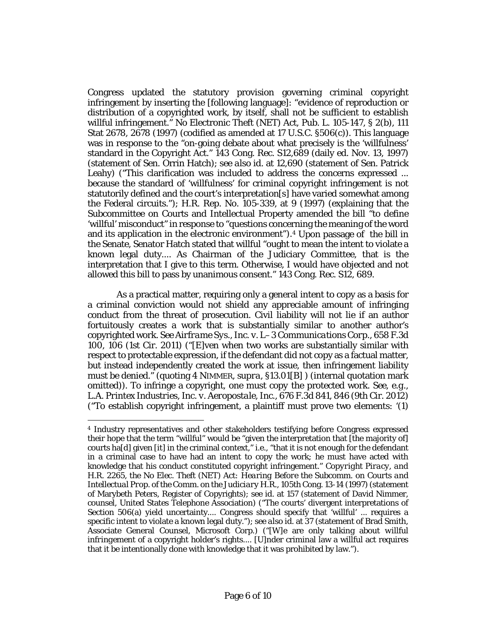Congress updated the statutory provision governing criminal copyright infringement by inserting the [following language]: "evidence of reproduction or distribution of a copyrighted work, by itself, shall not be sufficient to establish willful infringement." No Electronic Theft (NET) Act, Pub. [L. 105-147, § 2\(b\), 111](http://www.westlaw.com/Link/Document/FullText?findType=l&pubNum=1077005&cite=UUID(I67A8F7E33B-B942369A310-D95CEC32C6A)&originatingDoc=Iff1d9ce12a8311e3b48bea39e86d4142&refType=SL&originationContext=document&vr=3.0&rs=cblt1.0&transitionType=DocumentItem&contextData=(sc.DocLink))  [Stat 2678,](http://www.westlaw.com/Link/Document/FullText?findType=l&pubNum=1077005&cite=UUID(I67A8F7E33B-B942369A310-D95CEC32C6A)&originatingDoc=Iff1d9ce12a8311e3b48bea39e86d4142&refType=SL&originationContext=document&vr=3.0&rs=cblt1.0&transitionType=DocumentItem&contextData=(sc.DocLink)) 2678 (1997) (codified as amended at [17 U.S.C. §506\(c\)\)](http://www.westlaw.com/Link/Document/FullText?findType=L&pubNum=1000546&cite=17USCAS506&originatingDoc=Iff1d9ce12a8311e3b48bea39e86d4142&refType=RB&originationContext=document&vr=3.0&rs=cblt1.0&transitionType=DocumentItem&contextData=(sc.DocLink)#co_pp_4b24000003ba5). This language was in response to the "on-going debate about what precisely is the 'willfulness' standard in the Copyright Act." 143 Cong. Rec. S12,689 (daily ed. Nov. 13, 1997) (statement of Sen. Orrin Hatch); *see also id.* at 12,690 (statement of Sen. Patrick Leahy) ("This clarification was included to address the concerns expressed ... because the standard of 'willfulness' for criminal copyright infringement is not statutorily defined and the court's interpretation[s] have varied somewhat among the Federal circuits."); H.R. [Rep. No. 105-339, at 9 \(1997\)](http://www.westlaw.com/Link/Document/FullText?findType=Y&serNum=0108445798&pubNum=0100014&originatingDoc=Iff1d9ce12a8311e3b48bea39e86d4142&refType=TV&originationContext=document&vr=3.0&rs=cblt1.0&transitionType=DocumentItem&contextData=(sc.DocLink)) (explaining that the Subcommittee on Courts and Intellectual Property amended the bill "to define 'willful' misconduct" in response to "questions concerning the meaning of the word and its application in the electronic environment").[4](#page-5-0) Upon passage of the bill in the Senate, Senator Hatch stated that willful "ought to mean the intent to violate a known legal duty.... As Chairman of the Judiciary Committee, that is the interpretation that I give to this term. Otherwise, I would have objected and not allowed this bill to pass by unanimous consent." 143 Cong. Rec. S12, 689.

As a practical matter, requiring only a general intent to copy as a basis for a criminal conviction would not shield any appreciable amount of infringing conduct from the threat of prosecution. Civil liability will not lie if an author fortuitously creates a work that is substantially similar to another author's copyrighted work. *Se[e Airframe Sys., Inc. v. L–3 Communications Corp.,](http://www.westlaw.com/Link/Document/FullText?findType=Y&serNum=2026143517&pubNum=506&originatingDoc=Iff1d9ce12a8311e3b48bea39e86d4142&refType=RP&fi=co_pp_sp_506_106&originationContext=document&vr=3.0&rs=cblt1.0&transitionType=DocumentItem&contextData=(sc.DocLink)#co_pp_sp_506_106)* 658 F.3d 100, [106 \(1st Cir.](http://www.westlaw.com/Link/Document/FullText?findType=Y&serNum=2026143517&pubNum=506&originatingDoc=Iff1d9ce12a8311e3b48bea39e86d4142&refType=RP&fi=co_pp_sp_506_106&originationContext=document&vr=3.0&rs=cblt1.0&transitionType=DocumentItem&contextData=(sc.DocLink)#co_pp_sp_506_106) 2011) ("[E]ven when two works are substantially similar with respect to protectable expression, if the defendant did not copy as a factual matter, but instead independently created the work at issue, then infringement liability must be denied." (quoting 4 NIMMER, *supra,* §13.01[B] ) (internal quotation mark omitted)). To infringe a copyright, one must *copy* the protected work. *See, e.g., [L.A. Printex Industries, Inc. v. Aeropostale, Inc.,](http://www.westlaw.com/Link/Document/FullText?findType=Y&serNum=2027459957&pubNum=506&originatingDoc=Iff1d9ce12a8311e3b48bea39e86d4142&refType=RP&fi=co_pp_sp_506_846&originationContext=document&vr=3.0&rs=cblt1.0&transitionType=DocumentItem&contextData=(sc.DocLink)#co_pp_sp_506_846)* 676 F.3d 841, 846 (9th Cir. 2012) ("To establish copyright infringement, a plaintiff must prove two elements: '(1)

 $\overline{a}$ 

<span id="page-5-0"></span><sup>4</sup> Industry representatives and other stakeholders testifying before Congress expressed their hope that the term "willful" would be "given the interpretation that [the majority of] courts ha[d] given [it] in the criminal context," *i.e*., "that it is not enough for the defendant in a criminal case to have had an intent to copy the work; he must have acted with knowledge that his conduct constituted copyright infringement." *Copyright Piracy, and H.R. 2265, the No Elec. Theft (NET) Act: Hearing Before the Subcomm. on Courts and Intellectual Prop. of the Comm. on the Judiciary H.R.,* 105th Cong. 13-14 (1997) (statement of Marybeth Peters, Register of Copyrights); *see id.* at 157 (statement of David Nimmer, counsel, United States Telephone Association) ("The courts' divergent interpretations of [Section 506\(a\)](http://www.westlaw.com/Link/Document/FullText?findType=L&pubNum=1000546&cite=17USCAS506&originatingDoc=Iff1d9ce12a8311e3b48bea39e86d4142&refType=RB&originationContext=document&vr=3.0&rs=cblt1.0&transitionType=DocumentItem&contextData=(sc.DocLink)#co_pp_8b3b0000958a4) yield uncertainty.... Congress should specify that 'willful' ... requires a specific intent to violate a known legal duty."); *see also id.* at 37 (statement of Brad Smith, Associate General Counsel, Microsoft Corp.) ("[W]e are *only* talking about *willful infringement* of a copyright holder's rights.... [U]nder criminal law a willful act requires that it be intentionally done with knowledge that it was prohibited by law.").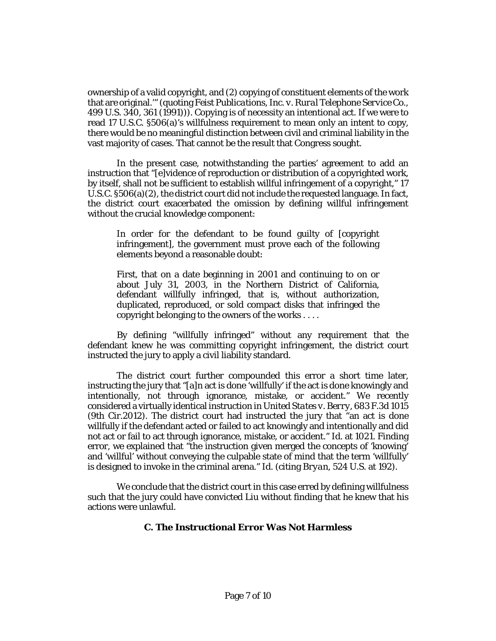ownership of a valid copyright, and (2) copying of constituent elements of the work that are original.'" (quoting *[Feist Publications, Inc. v. Rural Telephone](http://www.westlaw.com/Link/Document/FullText?findType=Y&serNum=1991060551&pubNum=708&originatingDoc=Iff1d9ce12a8311e3b48bea39e86d4142&refType=RP&originationContext=document&vr=3.0&rs=cblt1.0&transitionType=DocumentItem&contextData=(sc.DocLink)) Service Co.,* [499 U.S. 340, 361 \(1991\)\)](http://www.westlaw.com/Link/Document/FullText?findType=Y&serNum=1991060551&pubNum=708&originatingDoc=Iff1d9ce12a8311e3b48bea39e86d4142&refType=RP&originationContext=document&vr=3.0&rs=cblt1.0&transitionType=DocumentItem&contextData=(sc.DocLink))). Copying is of necessity an intentional act. If we were to read [17 U.S.C. §506\(a\)'](http://www.westlaw.com/Link/Document/FullText?findType=L&pubNum=1000546&cite=17USCAS506&originatingDoc=Iff1d9ce12a8311e3b48bea39e86d4142&refType=RB&originationContext=document&vr=3.0&rs=cblt1.0&transitionType=DocumentItem&contextData=(sc.DocLink)#co_pp_8b3b0000958a4)s willfulness requirement to mean only an intent to copy, there would be no meaningful distinction between civil and criminal liability in the vast majority of cases. That cannot be the result that Congress sought.

In the present case, notwithstanding the parties' agreement to add an instruction that "[e]vidence of reproduction or distribution of a copyrighted work, by itself, shall not be sufficient to establish willful infringement of a copyright,[" 17](http://www.westlaw.com/Link/Document/FullText?findType=L&pubNum=1000546&cite=17USCAS506&originatingDoc=Iff1d9ce12a8311e3b48bea39e86d4142&refType=RB&originationContext=document&vr=3.0&rs=cblt1.0&transitionType=DocumentItem&contextData=(sc.DocLink)#co_pp_d86d0000be040)  [U.S.C. §506\(a\)\(2\),](http://www.westlaw.com/Link/Document/FullText?findType=L&pubNum=1000546&cite=17USCAS506&originatingDoc=Iff1d9ce12a8311e3b48bea39e86d4142&refType=RB&originationContext=document&vr=3.0&rs=cblt1.0&transitionType=DocumentItem&contextData=(sc.DocLink)#co_pp_d86d0000be040) the district court did not include the requested language. In fact, the district court exacerbated the omission by defining willful infringement without the crucial knowledge component:

In order for the defendant to be found guilty of [copyright infringement], the government must prove each of the following elements beyond a reasonable doubt:

First, that on a date beginning in 2001 and continuing to on or about July 31, 2003, in the Northern District of California, defendant willfully infringed, that is, without authorization, duplicated, reproduced, or sold compact disks that infringed the copyright belonging to the owners of the works . . . .

By defining "willfully infringed" without any requirement that the defendant knew he was committing copyright infringement, the district court instructed the jury to apply a civil liability standard.

The district court further compounded this error a short time later, instructing the jury that "[a]n act is done 'willfully' if the act is done knowingly and intentionally, not through ignorance, mistake, or accident." We recently considered a virtually identical instruction in *[United States v. Berry,](http://www.westlaw.com/Link/Document/FullText?findType=Y&serNum=2027880531&pubNum=506&originatingDoc=Iff1d9ce12a8311e3b48bea39e86d4142&refType=RP&originationContext=document&vr=3.0&rs=cblt1.0&transitionType=DocumentItem&contextData=(sc.DocLink))* 683 F.3d 1015 [\(9th Cir.2012\).](http://www.westlaw.com/Link/Document/FullText?findType=Y&serNum=2027880531&pubNum=506&originatingDoc=Iff1d9ce12a8311e3b48bea39e86d4142&refType=RP&originationContext=document&vr=3.0&rs=cblt1.0&transitionType=DocumentItem&contextData=(sc.DocLink)) The district court had instructed the jury that "an act is done willfully if the defendant acted or failed to act knowingly and intentionally and did not act or fail to act through ignorance, mistake, or accident." *Id.* [at 1021.](http://www.westlaw.com/Link/Document/FullText?findType=Y&serNum=2027880531&originatingDoc=Iff1d9ce12a8311e3b48bea39e86d4142&refType=RP&originationContext=document&vr=3.0&rs=cblt1.0&transitionType=DocumentItem&contextData=(sc.DocLink)) Finding error, we explained that "the instruction given merged the concepts of 'knowing' and 'willful' without conveying the culpable state of mind that the term 'willfully' is designed to invoke in the criminal arena." *[Id.](http://www.westlaw.com/Link/Document/FullText?findType=Y&serNum=2027880531&originatingDoc=Iff1d9ce12a8311e3b48bea39e86d4142&refType=RP&originationContext=document&vr=3.0&rs=cblt1.0&transitionType=DocumentItem&contextData=(sc.DocLink))* (citing *Bryan,* [524 U.S. at 192\).](http://www.westlaw.com/Link/Document/FullText?findType=Y&serNum=1998125693&pubNum=708&originatingDoc=Iff1d9ce12a8311e3b48bea39e86d4142&refType=RP&originationContext=document&vr=3.0&rs=cblt1.0&transitionType=DocumentItem&contextData=(sc.DocLink))

We conclude that the district court in this case erred by defining willfulness such that the jury could have convicted Liu without finding that he knew that his actions were unlawful.

# **C. The Instructional Error Was Not Harmless**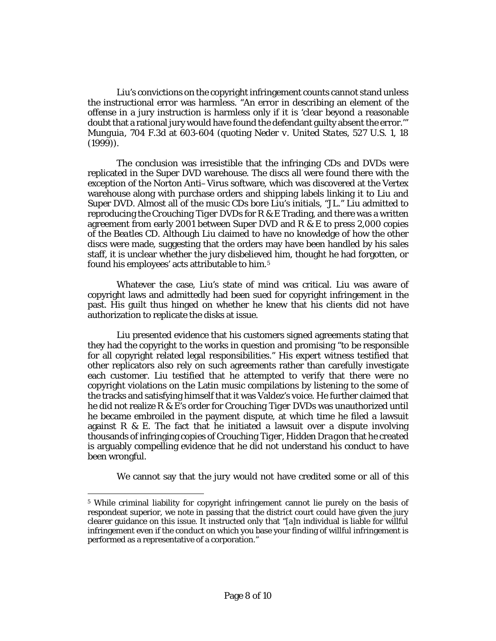Liu's convictions on the copyright infringement counts cannot stand unless the instructional error was harmless. "An error in describing an element of the offense in a jury instruction is harmless only if it is 'clear beyond a reasonable doubt that a rational jury would have found the defendant guilty absent the error.'" *Munguia,* [704 F.3d at 603-604](http://www.westlaw.com/Link/Document/FullText?findType=Y&serNum=2029291824&pubNum=506&originatingDoc=Iff1d9ce12a8311e3b48bea39e86d4142&refType=RP&fi=co_pp_sp_506_603&originationContext=document&vr=3.0&rs=cblt1.0&transitionType=DocumentItem&contextData=(sc.DocLink)#co_pp_sp_506_603) (quoting *[Neder v. United States,](http://www.westlaw.com/Link/Document/FullText?findType=Y&serNum=1999137124&pubNum=708&originatingDoc=Iff1d9ce12a8311e3b48bea39e86d4142&refType=RP&originationContext=document&vr=3.0&rs=cblt1.0&transitionType=DocumentItem&contextData=(sc.DocLink))* 527 U.S. 1, 18 [\(1999\)\)](http://www.westlaw.com/Link/Document/FullText?findType=Y&serNum=1999137124&pubNum=708&originatingDoc=Iff1d9ce12a8311e3b48bea39e86d4142&refType=RP&originationContext=document&vr=3.0&rs=cblt1.0&transitionType=DocumentItem&contextData=(sc.DocLink)).

The conclusion was irresistible that the infringing CDs and DVDs were replicated in the Super DVD warehouse. The discs all were found there with the exception of the Norton Anti–Virus software, which was discovered at the Vertex warehouse along with purchase orders and shipping labels linking it to Liu and Super DVD. Almost all of the music CDs bore Liu's initials, "JL." Liu admitted to reproducing the *Crouching Tiger* DVDs for R & E Trading, and there was a written agreement from early 2001 between Super DVD and R & E to press 2,000 copies of the *Beatles* CD. Although Liu claimed to have no knowledge of how the other discs were made, suggesting that the orders may have been handled by his sales staff, it is unclear whether the jury disbelieved him, thought he had forgotten, or found his employees' acts attributable to him.[5](#page-7-0)

Whatever the case, Liu's state of mind was critical. Liu was aware of copyright laws and admittedly had been sued for copyright infringement in the past. His guilt thus hinged on whether he knew that his clients did not have authorization to replicate the disks at issue.

Liu presented evidence that his customers signed agreements stating that they had the copyright to the works in question and promising "to be responsible for all copyright related legal responsibilities." His expert witness testified that other replicators also rely on such agreements rather than carefully investigate each customer. Liu testified that he attempted to verify that there were no copyright violations on the Latin music compilations by listening to the some of the tracks and satisfying himself that it was Valdez's voice. He further claimed that he did not realize R & E's order for *Crouching Tiger* DVDs was unauthorized until he became embroiled in the payment dispute, at which time he filed a lawsuit against  $R \& E$ . The fact that he initiated a lawsuit over a dispute involving thousands of infringing copies of *Crouching Tiger, Hidden Dragon* that he created is arguably compelling evidence that he did not understand his conduct to have been wrongful.

We cannot say that the jury would not have credited some or all of this

 $\overline{a}$ 

<span id="page-7-0"></span><sup>5</sup> While criminal liability for copyright infringement cannot lie purely on the basis of respondeat superior, we note in passing that the district court could have given the jury clearer guidance on this issue. It instructed only that "[a]n individual is liable for willful infringement even if the conduct on which you base your finding of willful infringement is performed as a representative of a corporation."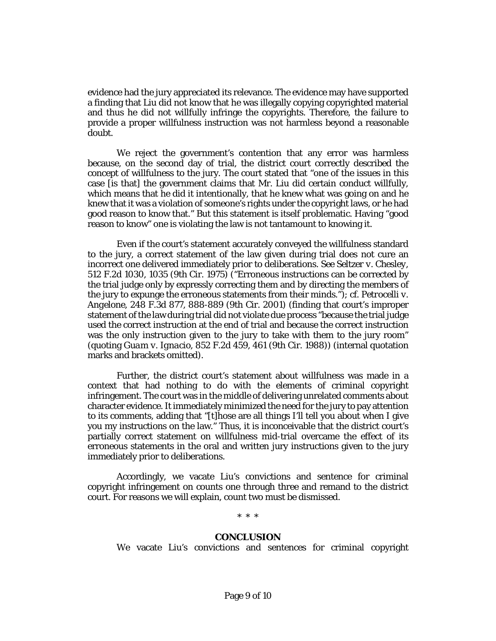evidence had the jury appreciated its relevance. The evidence may have supported a finding that Liu did not know that he was illegally copying copyrighted material and thus he did not willfully infringe the copyrights. Therefore, the failure to provide a proper willfulness instruction was not harmless beyond a reasonable doubt.

We reject the government's contention that any error was harmless because, on the second day of trial, the district court correctly described the concept of willfulness to the jury. The court stated that "one of the issues in this case [is that] the government claims that Mr. Liu did certain conduct willfully, which means that he did it intentionally, that he knew what was going on and he knew that it was a violation of someone's rights under the copyright laws, or he had good reason to know that." But this statement is itself problematic. Having "good reason to know" one is violating the law is not tantamount to knowing it.

Even if the court's statement accurately conveyed the willfulness standard to the jury, a correct statement of the law given during trial does not cure an incorrect one delivered immediately prior to deliberations. *See [Seltzer v. Chesley,](http://www.westlaw.com/Link/Document/FullText?findType=Y&serNum=1975110128&pubNum=350&originatingDoc=Iff1d9ce12a8311e3b48bea39e86d4142&refType=RP&fi=co_pp_sp_350_1035&originationContext=document&vr=3.0&rs=cblt1.0&transitionType=DocumentItem&contextData=(sc.DocLink)#co_pp_sp_350_1035)* [512 F.2d 1030, 1035 \(9th Cir.](http://www.westlaw.com/Link/Document/FullText?findType=Y&serNum=1975110128&pubNum=350&originatingDoc=Iff1d9ce12a8311e3b48bea39e86d4142&refType=RP&fi=co_pp_sp_350_1035&originationContext=document&vr=3.0&rs=cblt1.0&transitionType=DocumentItem&contextData=(sc.DocLink)#co_pp_sp_350_1035) 1975) ("Erroneous instructions can be corrected by the trial judge only by expressly correcting them and by directing the members of the jury to expunge the erroneous statements from their minds."); *cf. [Petrocelli v.](http://www.westlaw.com/Link/Document/FullText?findType=Y&serNum=2001340408&pubNum=506&originatingDoc=Iff1d9ce12a8311e3b48bea39e86d4142&refType=RP&fi=co_pp_sp_506_888&originationContext=document&vr=3.0&rs=cblt1.0&transitionType=DocumentItem&contextData=(sc.DocLink)#co_pp_sp_506_888)  Angelone,* [248 F.3d 877, 888-889 \(9th Cir.](http://www.westlaw.com/Link/Document/FullText?findType=Y&serNum=2001340408&pubNum=506&originatingDoc=Iff1d9ce12a8311e3b48bea39e86d4142&refType=RP&fi=co_pp_sp_506_888&originationContext=document&vr=3.0&rs=cblt1.0&transitionType=DocumentItem&contextData=(sc.DocLink)#co_pp_sp_506_888) 2001) (finding that court's improper statement of the law during trial did not violate due process "because the trial judge used the correct instruction at the end of trial and because the correct instruction was the only instruction given to the jury to take with them to the jury room" (quoting *Guam v. Ignacio,* [852 F.2d 459, 461 \(9th Cir.](http://www.westlaw.com/Link/Document/FullText?findType=Y&serNum=1988094499&pubNum=350&originatingDoc=Iff1d9ce12a8311e3b48bea39e86d4142&refType=RP&fi=co_pp_sp_350_461&originationContext=document&vr=3.0&rs=cblt1.0&transitionType=DocumentItem&contextData=(sc.DocLink)#co_pp_sp_350_461) 1988)) (internal quotation marks and brackets omitted).

Further, the district court's statement about willfulness was made in a context that had nothing to do with the elements of criminal copyright infringement. The court was in the middle of delivering unrelated comments about character evidence. It immediately minimized the need for the jury to pay attention to its comments, adding that "[t]hose are all things I'll tell you about when I give you my instructions on the law." Thus, it is inconceivable that the district court's partially correct statement on willfulness mid-trial overcame the effect of its erroneous statements in the oral and written jury instructions given to the jury immediately prior to deliberations.

Accordingly, we vacate Liu's convictions and sentence for criminal copyright infringement on counts one through three and remand to the district court. For reasons we will explain, count two must be dismissed.

\* \* \*

#### **CONCLUSION**

We vacate Liu's convictions and sentences for criminal copyright